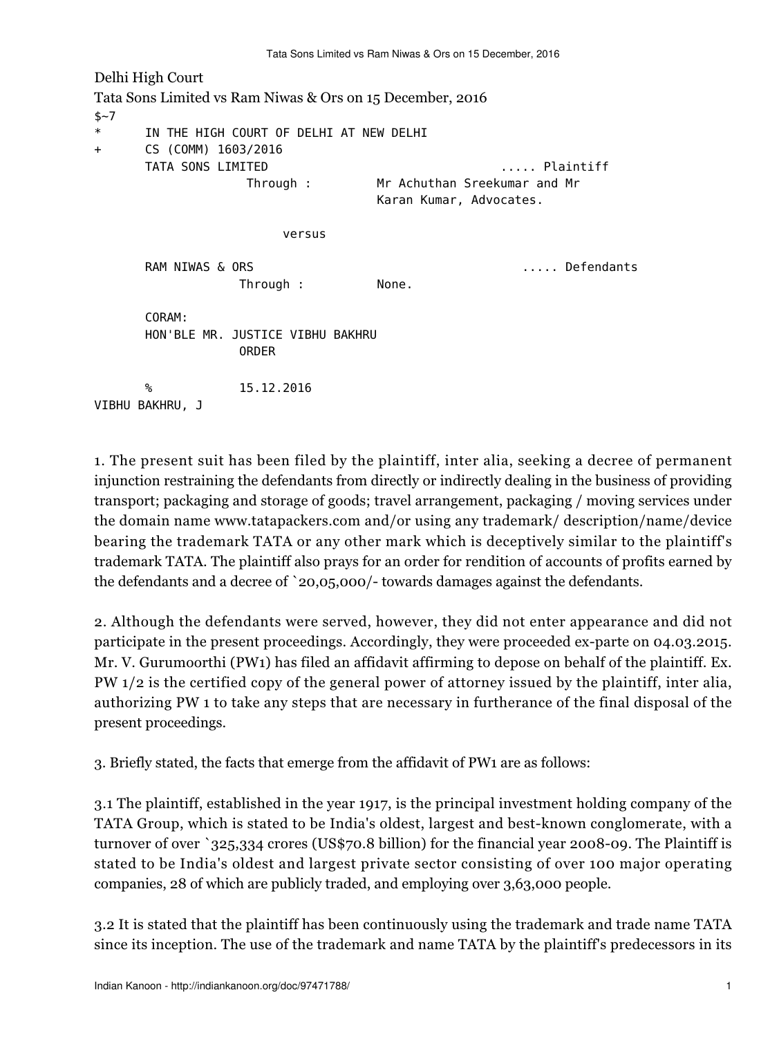Delhi High Court Tata Sons Limited vs Ram Niwas & Ors on 15 December, 2016  $$~-7$ \* IN THE HIGH COURT OF DELHI AT NEW DELHI + CS (COMM) 1603/2016 TATA SONS LIMITED ..... Plaintiff Through : Mr Achuthan Sreekumar and Mr Karan Kumar, Advocates. versus RAM NIWAS & ORS ..... Defendants Through : None. CORAM: HON'BLE MR. JUSTICE VIBHU BAKHRU ORDER % 15.12.2016 VIBHU BAKHRU, J

1. The present suit has been filed by the plaintiff, inter alia, seeking a decree of permanent injunction restraining the defendants from directly or indirectly dealing in the business of providing transport; packaging and storage of goods; travel arrangement, packaging / moving services under the domain name www.tatapackers.com and/or using any trademark/ description/name/device bearing the trademark TATA or any other mark which is deceptively similar to the plaintiff's trademark TATA. The plaintiff also prays for an order for rendition of accounts of profits earned by the defendants and a decree of `20,05,000/- towards damages against the defendants.

2. Although the defendants were served, however, they did not enter appearance and did not participate in the present proceedings. Accordingly, they were proceeded ex-parte on 04.03.2015. Mr. V. Gurumoorthi (PW1) has filed an affidavit affirming to depose on behalf of the plaintiff. Ex. PW 1/2 is the certified copy of the general power of attorney issued by the plaintiff, inter alia, authorizing PW 1 to take any steps that are necessary in furtherance of the final disposal of the present proceedings.

3. Briefly stated, the facts that emerge from the affidavit of PW1 are as follows:

3.1 The plaintiff, established in the year 1917, is the principal investment holding company of the TATA Group, which is stated to be India's oldest, largest and best-known conglomerate, with a turnover of over `325,334 crores (US\$70.8 billion) for the financial year 2008-09. The Plaintiff is stated to be India's oldest and largest private sector consisting of over 100 major operating companies, 28 of which are publicly traded, and employing over 3,63,000 people.

3.2 It is stated that the plaintiff has been continuously using the trademark and trade name TATA since its inception. The use of the trademark and name TATA by the plaintiff's predecessors in its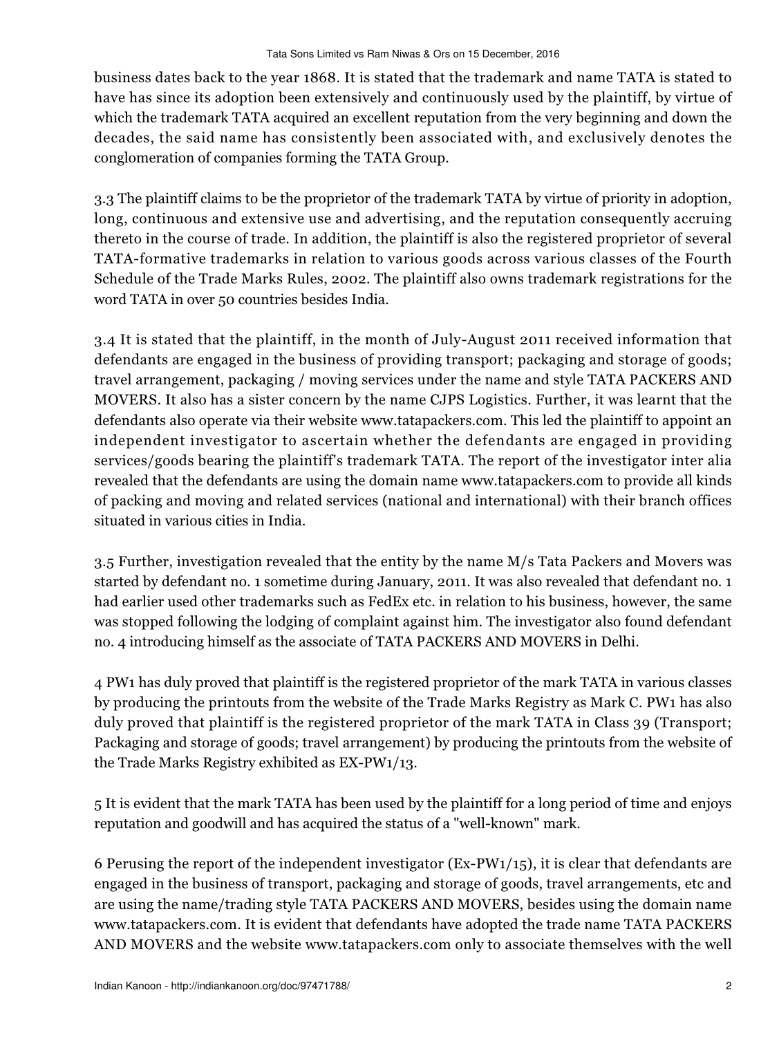business dates back to the year 1868. It is stated that the trademark and name TATA is stated to have has since its adoption been extensively and continuously used by the plaintiff, by virtue of which the trademark TATA acquired an excellent reputation from the very beginning and down the decades, the said name has consistently been associated with, and exclusively denotes the conglomeration of companies forming the TATA Group.

3.3 The plaintiff claims to be the proprietor of the trademark TATA by virtue of priority in adoption, long, continuous and extensive use and advertising, and the reputation consequently accruing thereto in the course of trade. In addition, the plaintiff is also the registered proprietor of several TATA-formative trademarks in relation to various goods across various classes of the Fourth Schedule of the Trade Marks Rules, 2002. The plaintiff also owns trademark registrations for the word TATA in over 50 countries besides India.

3.4 It is stated that the plaintiff, in the month of July-August 2011 received information that defendants are engaged in the business of providing transport; packaging and storage of goods; travel arrangement, packaging / moving services under the name and style TATA PACKERS AND MOVERS. It also has a sister concern by the name CJPS Logistics. Further, it was learnt that the defendants also operate via their website www.tatapackers.com. This led the plaintiff to appoint an independent investigator to ascertain whether the defendants are engaged in providing services/goods bearing the plaintiff's trademark TATA. The report of the investigator inter alia revealed that the defendants are using the domain name www.tatapackers.com to provide all kinds of packing and moving and related services (national and international) with their branch offices situated in various cities in India.

3.5 Further, investigation revealed that the entity by the name M/s Tata Packers and Movers was started by defendant no. 1 sometime during January, 2011. It was also revealed that defendant no. 1 had earlier used other trademarks such as FedEx etc. in relation to his business, however, the same was stopped following the lodging of complaint against him. The investigator also found defendant no. 4 introducing himself as the associate of TATA PACKERS AND MOVERS in Delhi.

4 PW1 has duly proved that plaintiff is the registered proprietor of the mark TATA in various classes by producing the printouts from the website of the Trade Marks Registry as Mark C. PW1 has also duly proved that plaintiff is the registered proprietor of the mark TATA in Class 39 (Transport; Packaging and storage of goods; travel arrangement) by producing the printouts from the website of the Trade Marks Registry exhibited as EX-PW1/13.

5 It is evident that the mark TATA has been used by the plaintiff for a long period of time and enjoys reputation and goodwill and has acquired the status of a "well-known" mark.

6 Perusing the report of the independent investigator (Ex-PW1/15), it is clear that defendants are engaged in the business of transport, packaging and storage of goods, travel arrangements, etc and are using the name/trading style TATA PACKERS AND MOVERS, besides using the domain name www.tatapackers.com. It is evident that defendants have adopted the trade name TATA PACKERS AND MOVERS and the website www.tatapackers.com only to associate themselves with the well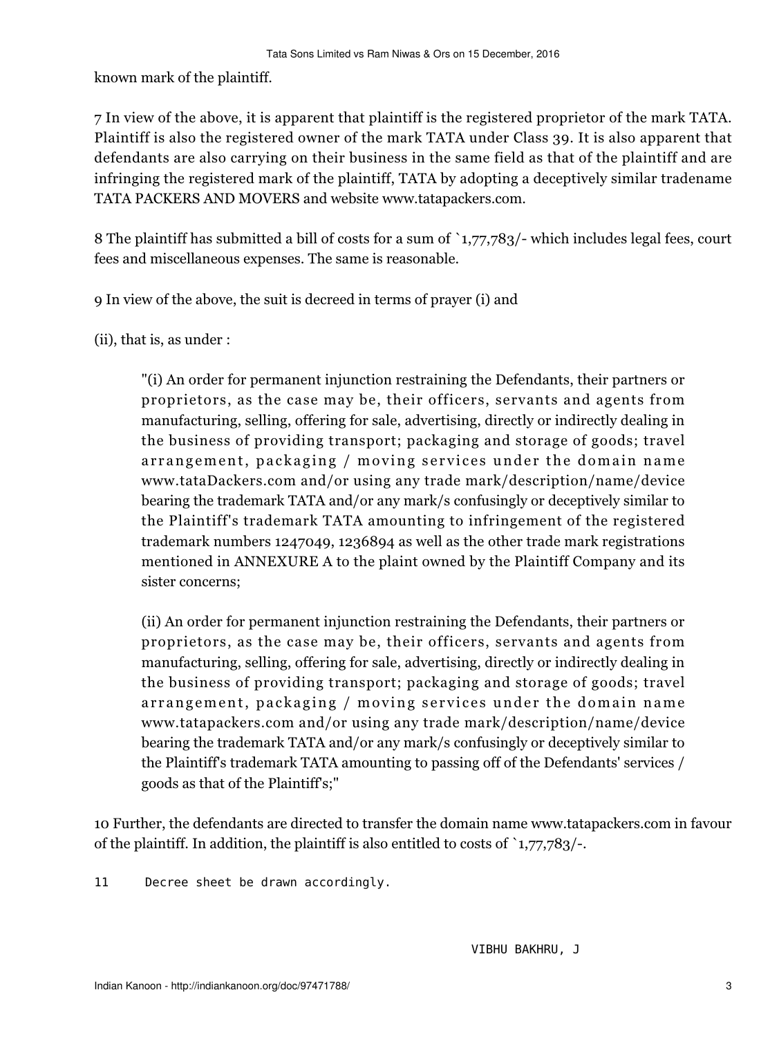known mark of the plaintiff.

7 In view of the above, it is apparent that plaintiff is the registered proprietor of the mark TATA. Plaintiff is also the registered owner of the mark TATA under Class 39. It is also apparent that defendants are also carrying on their business in the same field as that of the plaintiff and are infringing the registered mark of the plaintiff, TATA by adopting a deceptively similar tradename TATA PACKERS AND MOVERS and website www.tatapackers.com.

8 The plaintiff has submitted a bill of costs for a sum of `1,77,783/- which includes legal fees, court fees and miscellaneous expenses. The same is reasonable.

9 In view of the above, the suit is decreed in terms of prayer (i) and

(ii), that is, as under :

"(i) An order for permanent injunction restraining the Defendants, their partners or proprietors, as the case may be, their officers, servants and agents from manufacturing, selling, offering for sale, advertising, directly or indirectly dealing in the business of providing transport; packaging and storage of goods; travel arrangement, packaging / moving services under the domain name www.tataDackers.com and/or using any trade mark/description/name/device bearing the trademark TATA and/or any mark/s confusingly or deceptively similar to the Plaintiff's trademark TATA amounting to infringement of the registered trademark numbers 1247049, 1236894 as well as the other trade mark registrations mentioned in ANNEXURE A to the plaint owned by the Plaintiff Company and its sister concerns;

(ii) An order for permanent injunction restraining the Defendants, their partners or proprietors, as the case may be, their officers, servants and agents from manufacturing, selling, offering for sale, advertising, directly or indirectly dealing in the business of providing transport; packaging and storage of goods; travel arrangement, packaging / moving services under the domain name www.tatapackers.com and/or using any trade mark/description/name/device bearing the trademark TATA and/or any mark/s confusingly or deceptively similar to the Plaintiff's trademark TATA amounting to passing off of the Defendants' services / goods as that of the Plaintiff's;"

10 Further, the defendants are directed to transfer the domain name www.tatapackers.com in favour of the plaintiff. In addition, the plaintiff is also entitled to costs of  $\binom{1,77,783}{\cdot}$ .

11 Decree sheet be drawn accordingly.